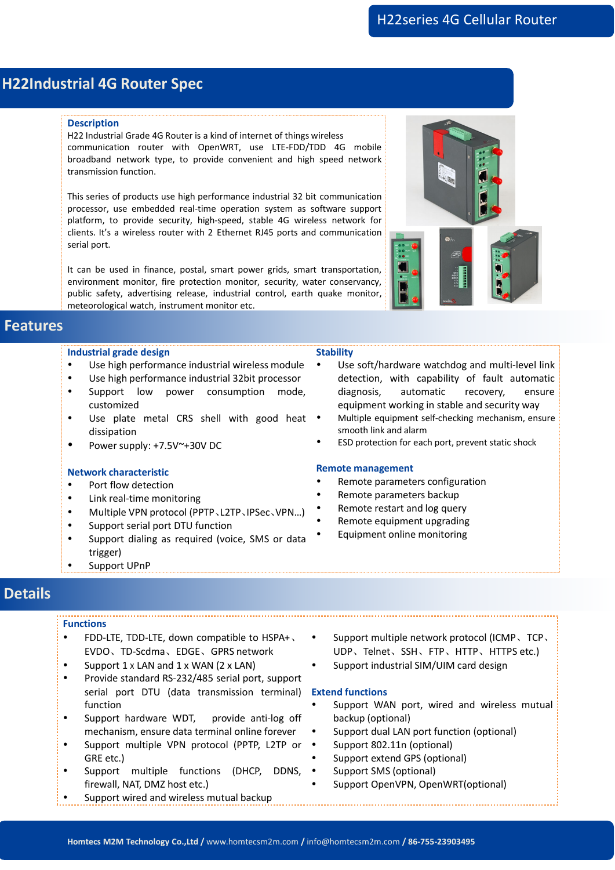# **H22Industrial 4G Router Spec**

## **Description**

H22 Industrial Grade 4G Router is a kind of internet of things wireless communication router with OpenWRT, use LTE-FDD/TDD 4G mobile broadband network type, to provide convenient and high speed network transmission function.

This series of products use high performance industrial 32 bit communication processor, use embedded real-time operation system as software support platform, to provide security, high-speed, stable 4G wireless network for clients. It's a wireless router with 2 Ethernet RJ45 ports and communication serial port.

It can be used in finance, postal, smart power grids, smart transportation, environment monitor, fire protection monitor, security, water conservancy, public safety, advertising release, industrial control, earth quake monitor, meteorological watch, instrument monitor etc.

## **Features**

## **Industrial grade design**

- Use high performance industrial wireless module
- Use high performance industrial 32bit processor
- Support low power consumption mode, diagnosis, customized
- Use plate metal CRS shell with good heat dissipation
- Power supply: +7.5V~+30V DC

## **Network characteristic**

- Port flow detection
- Link real-time monitoring
- Multiple VPN protocol (PPTP、L2TP、IPSec、VPN…)
- Support serial port DTU function
- Support dialing as required (voice, SMS or data trigger)
- Support UPnP

#### **Stability**

- Use soft/hardware watchdog and multi-level link detection, with capability of fault automatic automatic recovery, ensure equipment working in stable and security way
- Multiple equipment self-checking mechanism, ensure smooth link and alarm
- ESD protection for each port, prevent static shock

#### **Remote management**

- Remote parameters configuration
- Remote parameters backup
- Remote restart and log query
- Remote equipment upgrading
- Equipment online monitoring

## **Details**

#### **Functions**

- FDD-LTE, TDD-LTE, down compatible to HSPA+ EVDO、TD-Scdma、EDGE、GPRS network
- Support  $1 \times$  LAN and  $1 \times$  WAN (2  $\times$  LAN)
- Provide standard RS-232/485 serial port, support serial port DTU (data transmission terminal) function
- Support hardware WDT, provide anti-log off mechanism, ensure data terminal online forever
- Support multiple VPN protocol (PPTP, L2TP or GRE etc.)
- Support multiple functions (DHCP, DDNS, firewall, NAT, DMZ host etc.)
- Support wired and wireless mutual backup
- Support multiple network protocol (ICMP、TCP、 UDP、Telnet、SSH、FTP、HTTP、HTTPS etc.)
- Support industrial SIM/UIM card design

## **Extend functions**

- Support WAN port, wired and wireless mutual backup (optional)
- Support dual LAN port function (optional)
- Support 802.11n (optional)
- Support extend GPS (optional)
	- Support SMS (optional)
- Support OpenVPN, OpenWRT(optional)

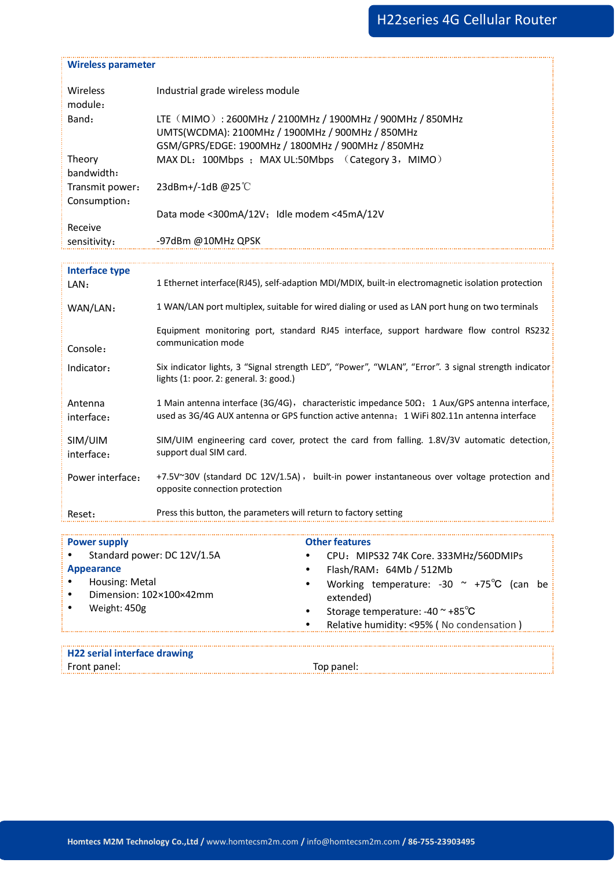| <b>Power supply</b>           | <b>Other features</b>                                                                                                                                                                      |
|-------------------------------|--------------------------------------------------------------------------------------------------------------------------------------------------------------------------------------------|
| Reset:                        | Press this button, the parameters will return to factory setting                                                                                                                           |
| Power interface:              | +7.5V~30V (standard DC 12V/1.5A), built-in power instantaneous over voltage protection and<br>opposite connection protection                                                               |
| SIM/UIM<br>interface:         | SIM/UIM engineering card cover, protect the card from falling. 1.8V/3V automatic detection,<br>support dual SIM card.                                                                      |
| Antenna<br>interface:         | 1 Main antenna interface (3G/4G), characteristic impedance 50Ω; 1 Aux/GPS antenna interface,<br>used as 3G/4G AUX antenna or GPS function active antenna; 1 WiFi 802.11n antenna interface |
| Indicator:                    | Six indicator lights, 3 "Signal strength LED", "Power", "WLAN", "Error". 3 signal strength indicator<br>lights (1: poor. 2: general. 3: good.)                                             |
| Console:                      | Equipment monitoring port, standard RJ45 interface, support hardware flow control RS232<br>communication mode                                                                              |
| WAN/LAN:                      | 1 WAN/LAN port multiplex, suitable for wired dialing or used as LAN port hung on two terminals                                                                                             |
| <b>Interface type</b><br>LAN: | 1 Ethernet interface(RJ45), self-adaption MDI/MDIX, built-in electromagnetic isolation protection                                                                                          |
| sensitivity:                  |                                                                                                                                                                                            |
| Receive                       | -97dBm @10MHz QPSK                                                                                                                                                                         |
| Consumption:                  | Data mode <300mA/12V; Idle modem <45mA/12V                                                                                                                                                 |
| Transmit power:               | 23dBm+/-1dB@25°C                                                                                                                                                                           |
| Theory<br>bandwidth:          | MAX DL: 100Mbps ; MAX UL:50Mbps (Category 3, MIMO)                                                                                                                                         |
| Band:                         | LTE (MIMO): 2600MHz / 2100MHz / 1900MHz / 900MHz / 850MHz<br>UMTS(WCDMA): 2100MHz / 1900MHz / 900MHz / 850MHz<br>GSM/GPRS/EDGE: 1900MHz / 1800MHz / 900MHz / 850MHz                        |
| module:                       |                                                                                                                                                                                            |
| Wireless                      | Industrial grade wireless module                                                                                                                                                           |
| <b>Wireless parameter</b>     |                                                                                                                                                                                            |

| Standard power: DC 12V/1.5A<br>CPU: MIPS32 74K Core. 333MHz/560DMIPs |
|----------------------------------------------------------------------|
| Flash/RAM: 64Mb / 512Mb<br>Appearance                                |
| Housing: Metal<br>Working temperature: -30 $\sim$ +75°C (can be      |
| Dimension: 102×100×42mm<br>extended)                                 |
| Weight: 450g<br>Storage temperature: $-40 \approx +85^{\circ}C$      |
| Relative humidity: <95% (No condensation)                            |
| <b>H22 serial interface drawing</b>                                  |
|                                                                      |
| Front panel:<br>Top panel:                                           |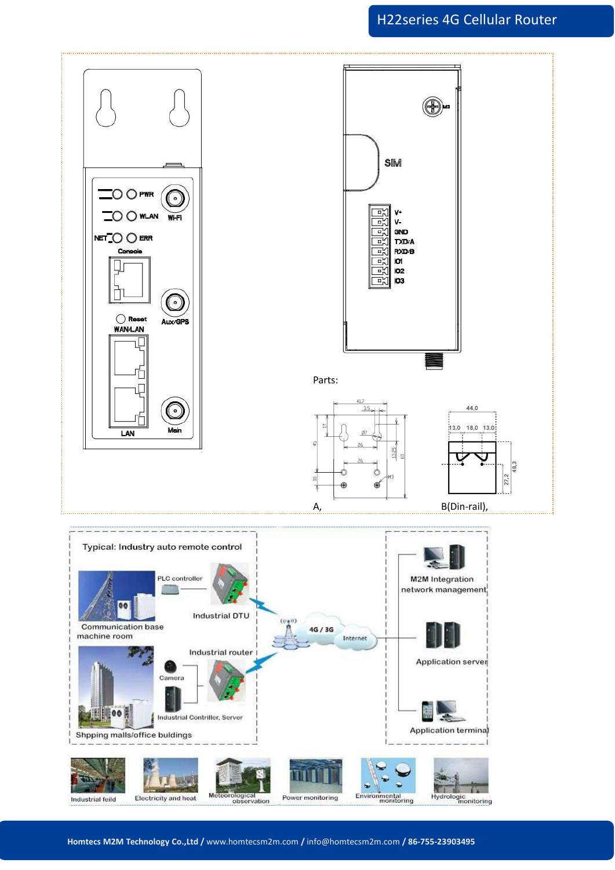## H22series 4G Cellular Router

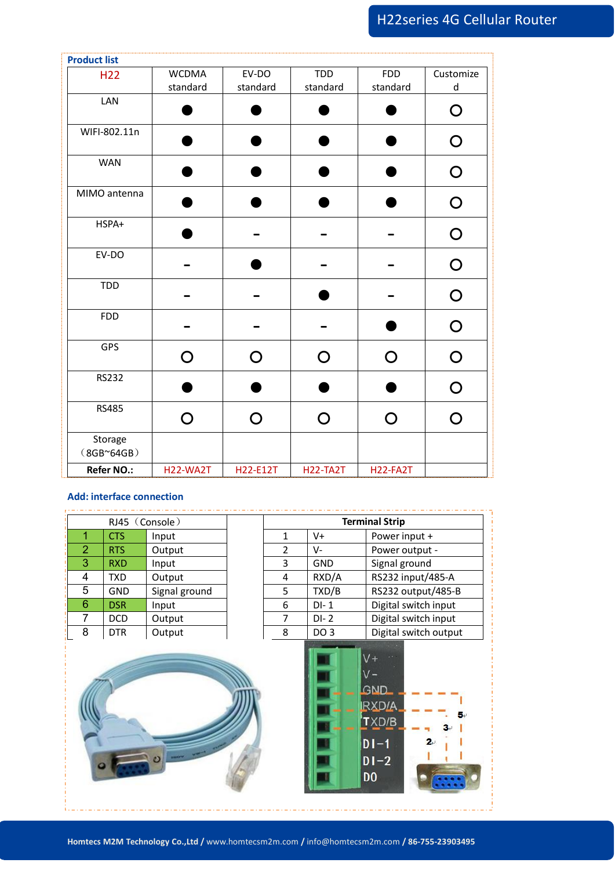# H22series 4G Cellular Router

| <b>Product list</b>               |                 |             |                              |                 |                |
|-----------------------------------|-----------------|-------------|------------------------------|-----------------|----------------|
| H <sub>22</sub>                   | <b>WCDMA</b>    | EV-DO       | TDD                          | <b>FDD</b>      | Customize      |
| LAN                               | standard        | standard    | standard                     | standard        | $\sf d$        |
|                                   |                 | a a         | ▲                            |                 | $\bigcirc$     |
| WIFI-802.11n                      | D               | ٠           | $\bullet$                    | D               | $\bigcirc$     |
| WAN                               |                 |             | ●                            |                 | $\bigcirc$     |
| MIMO antenna                      |                 | ●           | D                            |                 | $\bigcirc$     |
| HSPA+                             |                 |             | $\qquad \qquad \blacksquare$ |                 | $\bigcirc$     |
| EV-DO                             |                 |             |                              |                 | $\bigcirc$     |
| TDD                               |                 |             | ●                            |                 | $\bigcirc$     |
| <b>FDD</b>                        |                 |             |                              |                 | $\bigcirc$     |
| GPS                               | $\bigcirc$      | $\mathbf O$ | $\bigcirc$                   | $\mathbf O$     | $\mathbf O$    |
| <b>RS232</b>                      |                 |             | ▲                            |                 | $\overline{O}$ |
| <b>RS485</b>                      | $\bigcirc$      | $\bigcirc$  | $\bigcirc$                   | $\overline{O}$  | $\bigcirc$     |
| Storage<br>(8GB <sub>64GB</sub> ) |                 |             |                              |                 |                |
| Refer NO.:                        | <b>H22-WA2T</b> | H22-E12T    | <b>H22-TA2T</b>              | <b>H22-FA2T</b> |                |

### **Add: interface connection**

| RJ45 (Console) |            | <b>Terminal Strip</b> |   |            |                      |
|----------------|------------|-----------------------|---|------------|----------------------|
|                | <b>CTS</b> | Input                 |   | V+         | Power input +        |
|                | RTS        | Output                |   | V-         | Power output -       |
| З              | <b>RXD</b> | Input                 | 3 | <b>GND</b> | Signal ground        |
| 4              | TXD.       | Output                | 4 | RXD/A      | RS232 input/485-A    |
| 5              | <b>GND</b> | Signal ground         | 5 | TXD/B      | RS232 output/485-B   |
| 6              | <b>DSR</b> | Input                 | 6 | $DI-1$     | Digital switch input |
|                | DCD        | Output                |   | $DI - 2$   | Digital switch input |